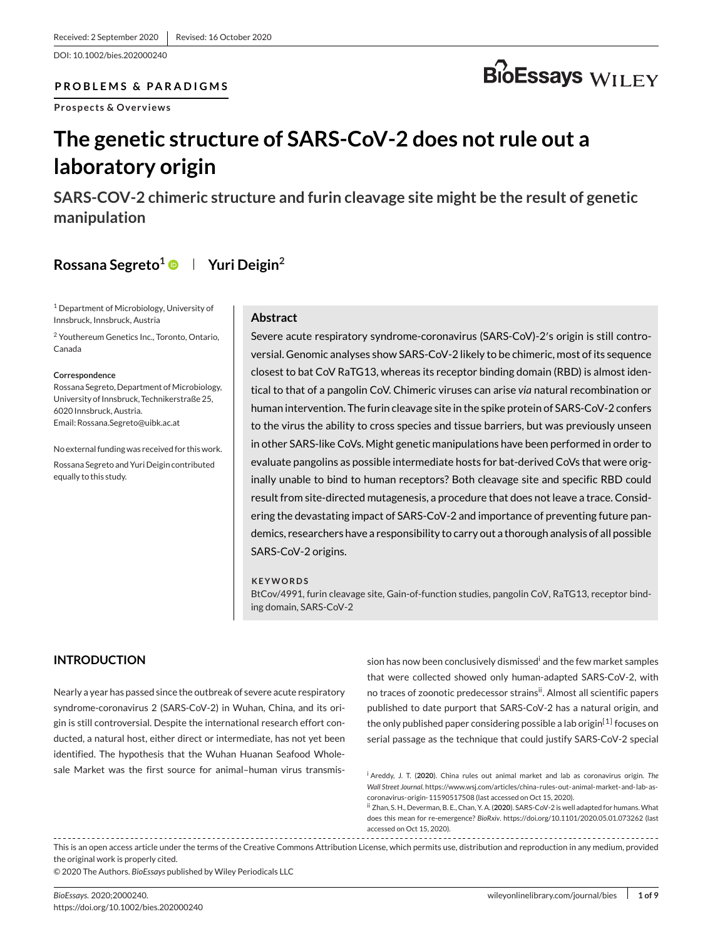DOI: 10.1002/bies.202000240

#### **PROBLEMS & PARADIGMS**

**Prospects & Overviews**

# **BioEssays** WILEY

## **The genetic structure of SARS-CoV-2 does not rule out a laboratory origin**

**SARS-COV-2 chimeric structure and furin cleavage site might be the result of genetic manipulation**

## **Rossana Segreto1 Yuri Deigin2**

<sup>1</sup> Department of Microbiology, University of Innsbruck, Innsbruck, Austria

<sup>2</sup> Youthereum Genetics Inc., Toronto, Ontario, Canada

#### **Correspondence**

Rossana Segreto, Department of Microbiology, University of Innsbruck, Technikerstraße 25, 6020 Innsbruck, Austria. Email: Rossana.Segreto@uibk.ac.at

No external funding was received for this work. Rossana Segreto and Yuri Deigin contributed equally to this study.

#### **Abstract**

Severe acute respiratory syndrome-coronavirus (SARS-CoV)-2′s origin is still controversial. Genomic analyses show SARS-CoV-2 likely to be chimeric, most of its sequence closest to bat CoV RaTG13, whereas its receptor binding domain (RBD) is almost identical to that of a pangolin CoV. Chimeric viruses can arise *via* natural recombination or human intervention. The furin cleavage site in the spike protein of SARS-CoV-2 confers to the virus the ability to cross species and tissue barriers, but was previously unseen in other SARS-like CoVs. Might genetic manipulations have been performed in order to evaluate pangolins as possible intermediate hosts for bat-derived CoVs that were originally unable to bind to human receptors? Both cleavage site and specific RBD could result from site-directed mutagenesis, a procedure that does not leave a trace. Considering the devastating impact of SARS-CoV-2 and importance of preventing future pandemics, researchers have a responsibility to carry out a thorough analysis of all possible SARS-CoV-2 origins.

#### **KEYWORDS**

BtCov/4991, furin cleavage site, Gain-of-function studies, pangolin CoV, RaTG13, receptor binding domain, SARS-CoV-2

## **INTRODUCTION**

Nearly a year has passed since the outbreak of severe acute respiratory syndrome-coronavirus 2 (SARS-CoV-2) in Wuhan, China, and its origin is still controversial. Despite the international research effort conducted, a natural host, either direct or intermediate, has not yet been identified. The hypothesis that the Wuhan Huanan Seafood Wholesale Market was the first source for animal–human virus transmission has now been conclusively dismissed<sup>i</sup> and the few market samples that were collected showed only human-adapted SARS-CoV-2, with no traces of zoonotic predecessor strainsii. Almost all scientific papers published to date purport that SARS-CoV-2 has a natural origin, and the only published paper considering possible a lab origin<sup>[1]</sup> focuses on serial passage as the technique that could justify SARS-CoV-2 special

This is an open access article under the terms of the Creative Commons Attribution License, which permits use, distribution and reproduction in any medium, provided the original work is properly cited.

© 2020 The Authors. *BioEssays* published by Wiley Periodicals LLC

<sup>i</sup> Areddy, J. T. (**2020**). China rules out animal market and lab as coronavirus origin. *The Wall Street Journal*. https://www.wsj.com/articles/china-rules-out-animal-market-and-lab-ascoronavirus-origin-11590517508 (last accessed on Oct 15, 2020).

ii Zhan, S. H., Deverman, B. E., Chan, Y. A. (**2020**). SARS-CoV-2 is well adapted for humans.What does this mean for re-emergence? *BioRxiv*. https://doi.org/10.1101/2020.05.01.073262 (last accessed on Oct 15, 2020).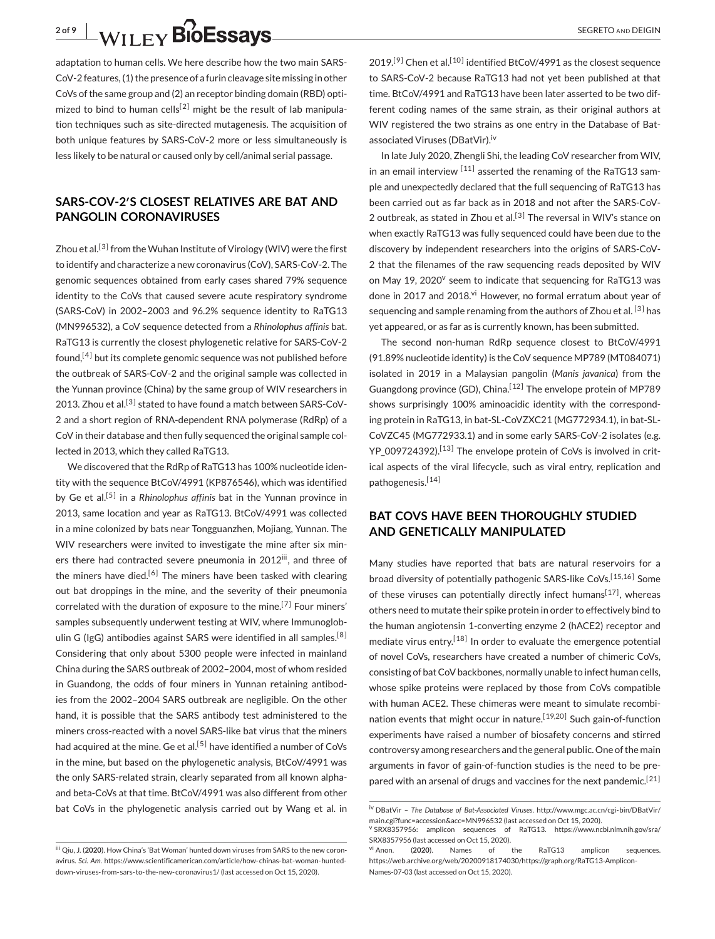adaptation to human cells. We here describe how the two main SARS-CoV-2 features, (1) the presence of a furin cleavage site missing in other CoVs of the same group and (2) an receptor binding domain (RBD) optimized to bind to human cells<sup>[2]</sup> might be the result of lab manipulation techniques such as site-directed mutagenesis. The acquisition of both unique features by SARS-CoV-2 more or less simultaneously is less likely to be natural or caused only by cell/animal serial passage.

#### **SARS-COV-2′S CLOSEST RELATIVES ARE BAT AND PANGOLIN CORONAVIRUSES**

Zhou et al.<sup>[3]</sup> from the Wuhan Institute of Virology (WIV) were the first to identify and characterize a new coronavirus (CoV), SARS-CoV-2. The genomic sequences obtained from early cases shared 79% sequence identity to the CoVs that caused severe acute respiratory syndrome (SARS-CoV) in 2002–2003 and 96.2% sequence identity to RaTG13 (MN996532), a CoV sequence detected from a *Rhinolophus affinis* bat. RaTG13 is currently the closest phylogenetic relative for SARS-CoV-2 found,[4] but its complete genomic sequence was not published before the outbreak of SARS-CoV-2 and the original sample was collected in the Yunnan province (China) by the same group of WIV researchers in 2013. Zhou et al.<sup>[3]</sup> stated to have found a match between SARS-CoV-2 and a short region of RNA-dependent RNA polymerase (RdRp) of a CoV in their database and then fully sequenced the original sample collected in 2013, which they called RaTG13.

We discovered that the RdRp of RaTG13 has 100% nucleotide identity with the sequence BtCoV/4991 (KP876546), which was identified by Ge et al.[5] in a *Rhinolophus affinis* bat in the Yunnan province in 2013, same location and year as RaTG13. BtCoV/4991 was collected in a mine colonized by bats near Tongguanzhen, Mojiang, Yunnan. The WIV researchers were invited to investigate the mine after six miners there had contracted severe pneumonia in 2012iii, and three of the miners have died.<sup>[6]</sup> The miners have been tasked with clearing out bat droppings in the mine, and the severity of their pneumonia correlated with the duration of exposure to the mine.<sup>[7]</sup> Four miners' samples subsequently underwent testing at WIV, where Immunoglobulin G (IgG) antibodies against SARS were identified in all samples.<sup>[8]</sup> Considering that only about 5300 people were infected in mainland China during the SARS outbreak of 2002–2004, most of whom resided in Guandong, the odds of four miners in Yunnan retaining antibodies from the 2002–2004 SARS outbreak are negligible. On the other hand, it is possible that the SARS antibody test administered to the miners cross-reacted with a novel SARS-like bat virus that the miners had acquired at the mine. Ge et al.<sup>[5]</sup> have identified a number of CoVs in the mine, but based on the phylogenetic analysis, BtCoV/4991 was the only SARS-related strain, clearly separated from all known alphaand beta-CoVs at that time. BtCoV/4991 was also different from other bat CoVs in the phylogenetic analysis carried out by Wang et al. in  $2019$ .<sup>[9]</sup> Chen et al.<sup>[10]</sup> identified BtCoV/4991 as the closest sequence to SARS-CoV-2 because RaTG13 had not yet been published at that time. BtCoV/4991 and RaTG13 have been later asserted to be two different coding names of the same strain, as their original authors at WIV registered the two strains as one entry in the Database of Batassociated Viruses (DBatVir).<sup>iv</sup>

In late July 2020, Zhengli Shi, the leading CoV researcher from WIV, in an email interview  $[11]$  asserted the renaming of the RaTG13 sample and unexpectedly declared that the full sequencing of RaTG13 has been carried out as far back as in 2018 and not after the SARS-CoV-2 outbreak, as stated in Zhou et al.<sup>[3]</sup> The reversal in WIV's stance on when exactly RaTG13 was fully sequenced could have been due to the discovery by independent researchers into the origins of SARS-CoV-2 that the filenames of the raw sequencing reads deposited by WIV on May 19, 2020<sup>v</sup> seem to indicate that sequencing for RaTG13 was done in 2017 and 2018.<sup>vi</sup> However, no formal erratum about year of sequencing and sample renaming from the authors of Zhou et al.<sup>[3]</sup> has yet appeared, or as far as is currently known, has been submitted.

The second non-human RdRp sequence closest to BtCoV/4991 (91.89% nucleotide identity) is the CoV sequence MP789 (MT084071) isolated in 2019 in a Malaysian pangolin (*Manis javanica*) from the Guangdong province (GD), China.<sup>[12]</sup> The envelope protein of MP789 shows surprisingly 100% aminoacidic identity with the corresponding protein in RaTG13, in bat-SL-CoVZXC21 (MG772934.1), in bat-SL-CoVZC45 (MG772933.1) and in some early SARS-CoV-2 isolates (e.g. YP\_009724392).<sup>[13]</sup> The envelope protein of CoVs is involved in critical aspects of the viral lifecycle, such as viral entry, replication and pathogenesis.<sup>[14]</sup>

### **BAT COVS HAVE BEEN THOROUGHLY STUDIED AND GENETICALLY MANIPULATED**

Many studies have reported that bats are natural reservoirs for a broad diversity of potentially pathogenic SARS-like CoVs.<sup>[15,16]</sup> Some of these viruses can potentially directly infect humans<sup>[17]</sup>, whereas others need to mutate their spike protein in order to effectively bind to the human angiotensin 1-converting enzyme 2 (hACE2) receptor and mediate virus entry.<sup>[18]</sup> In order to evaluate the emergence potential of novel CoVs, researchers have created a number of chimeric CoVs, consisting of bat CoV backbones, normally unable to infect human cells, whose spike proteins were replaced by those from CoVs compatible with human ACE2. These chimeras were meant to simulate recombination events that might occur in nature.<sup>[19,20]</sup> Such gain-of-function experiments have raised a number of biosafety concerns and stirred controversy among researchers and the general public. One of the main arguments in favor of gain-of-function studies is the need to be prepared with an arsenal of drugs and vaccines for the next pandemic.<sup>[21]</sup>

iii Qiu, J. (**2020**). How China's 'Bat Woman' hunted down viruses from SARS to the new coronavirus. *Sci. Am*. https://www.scientificamerican.com/article/how-chinas-bat-woman-hunteddown-viruses-from-sars-to-the-new-coronavirus1/ (last accessed on Oct 15, 2020).

iv DBatVir – *The Database of Bat-Associated Viruses*. http://www.mgc.ac.cn/cgi-bin/DBatVir/ main.cgi?func=accession&acc=MN996532 (last accessed on Oct 15, 2020). <sup>v</sup> SRX8357956: amplicon sequences of RaTG13. https://www.ncbi.nlm.nih.gov/sra/

SRX8357956 (last accessed on Oct 15, 2020). vi Anon. (**2020**). Names of the RaTG13 amplicon sequences.

https://web.archive.org/web/20200918174030/https://graph.org/RaTG13-Amplicon-Names-07-03 (last accessed on Oct 15, 2020).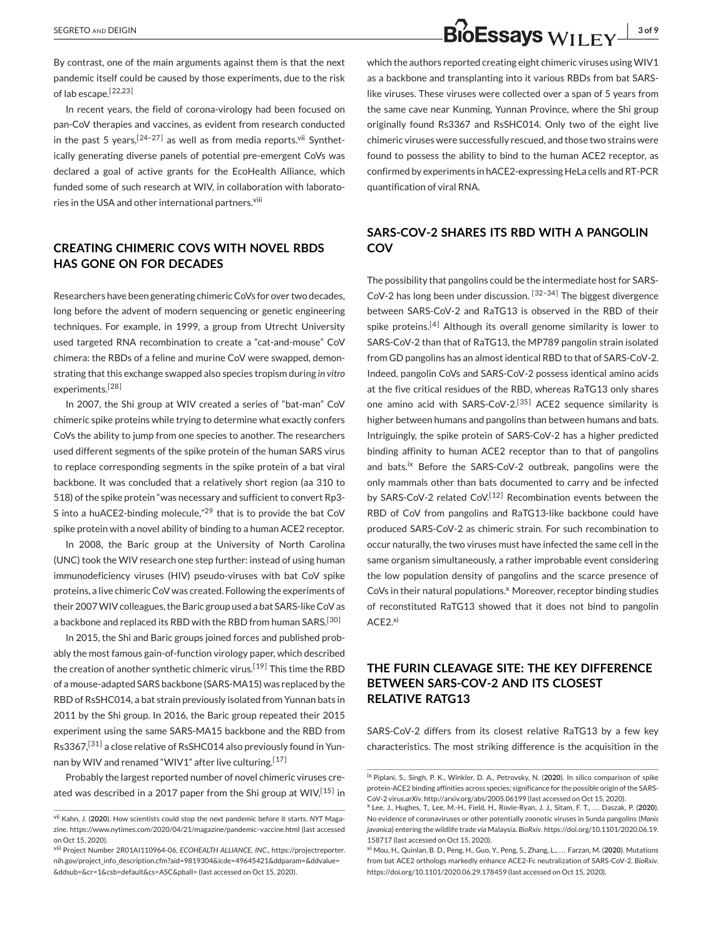By contrast, one of the main arguments against them is that the next pandemic itself could be caused by those experiments, due to the risk of lab escape.[22,23 ]

In recent years, the field of corona-virology had been focused on pan-CoV therapies and vaccines, as evident from research conducted in the past 5 years,  $[24-27]$  as well as from media reports. Vii Synthetically generating diverse panels of potential pre-emergent CoVs was declared a goal of active grants for the EcoHealth Alliance, which funded some of such research at WIV, in collaboration with laboratories in the USA and other international partners.<sup>viii</sup>

## **CREATING CHIMERIC COVS WITH NOVEL RBDS HAS GONE ON FOR DECADES**

Researchers have been generating chimeric CoVs for over two decades, long before the advent of modern sequencing or genetic engineering techniques. For example, in 1999, a group from Utrecht University used targeted RNA recombination to create a "cat-and-mouse" CoV chimera: the RBDs of a feline and murine CoV were swapped, demonstrating that this exchange swapped also species tropism during *in vitro* experiments.<sup>[28]</sup>

In 2007, the Shi group at WIV created a series of "bat-man" CoV chimeric spike proteins while trying to determine what exactly confers CoVs the ability to jump from one species to another. The researchers used different segments of the spike protein of the human SARS virus to replace corresponding segments in the spike protein of a bat viral backbone. It was concluded that a relatively short region (aa 310 to 518) of the spike protein "was necessary and sufficient to convert Rp3- S into a huACE2-binding molecule,"<sup>29</sup> that is to provide the bat CoV spike protein with a novel ability of binding to a human ACE2 receptor.

In 2008, the Baric group at the University of North Carolina (UNC) took the WIV research one step further: instead of using human immunodeficiency viruses (HIV) pseudo-viruses with bat CoV spike proteins, a live chimeric CoV was created. Following the experiments of their 2007WIV colleagues, the Baric group used a bat SARS-like CoV as a backbone and replaced its RBD with the RBD from human SARS.<sup>[30]</sup>

In 2015, the Shi and Baric groups joined forces and published probably the most famous gain-of-function virology paper, which described the creation of another synthetic chimeric virus.<sup>[19]</sup> This time the RBD of a mouse-adapted SARS backbone (SARS-MA15) was replaced by the RBD of RsSHC014, a bat strain previously isolated from Yunnan bats in 2011 by the Shi group. In 2016, the Baric group repeated their 2015 experiment using the same SARS-MA15 backbone and the RBD from Rs3367,<sup>[31]</sup> a close relative of RsSHC014 also previously found in Yunnan by WIV and renamed "WIV1" after live culturing.<sup>[17]</sup>

Probably the largest reported number of novel chimeric viruses created was described in a 2017 paper from the Shi group at WIV,  $[15]$  in which the authors reported creating eight chimeric viruses using WIV1 as a backbone and transplanting into it various RBDs from bat SARSlike viruses. These viruses were collected over a span of 5 years from the same cave near Kunming, Yunnan Province, where the Shi group originally found Rs3367 and RsSHC014. Only two of the eight live chimeric viruses were successfully rescued, and those two strains were found to possess the ability to bind to the human ACE2 receptor, as confirmed by experiments in hACE2-expressing HeLa cells and RT-PCR quantification of viral RNA.

### **SARS-COV-2 SHARES ITS RBD WITH A PANGOLIN COV**

The possibility that pangolins could be the intermediate host for SARS-CoV-2 has long been under discussion.  $[32-34]$  The biggest divergence between SARS-CoV-2 and RaTG13 is observed in the RBD of their spike proteins.<sup>[4]</sup> Although its overall genome similarity is lower to SARS-CoV-2 than that of RaTG13, the MP789 pangolin strain isolated from GD pangolins has an almost identical RBD to that of SARS-CoV-2. Indeed, pangolin CoVs and SARS-CoV-2 possess identical amino acids at the five critical residues of the RBD, whereas RaTG13 only shares one amino acid with SARS-CoV-2.<sup>[35]</sup> ACE2 sequence similarity is higher between humans and pangolins than between humans and bats. Intriguingly, the spike protein of SARS-CoV-2 has a higher predicted binding affinity to human ACE2 receptor than to that of pangolins and bats.<sup>ix</sup> Before the SARS-CoV-2 outbreak, pangolins were the only mammals other than bats documented to carry and be infected by SARS-CoV-2 related CoV.<sup>[12]</sup> Recombination events between the RBD of CoV from pangolins and RaTG13-like backbone could have produced SARS-CoV-2 as chimeric strain. For such recombination to occur naturally, the two viruses must have infected the same cell in the same organism simultaneously, a rather improbable event considering the low population density of pangolins and the scarce presence of CoVs in their natural populations.<sup>x</sup> Moreover, receptor binding studies of reconstituted RaTG13 showed that it does not bind to pangolin ACE<sub>2.xi</sub>

## **THE FURIN CLEAVAGE SITE: THE KEY DIFFERENCE BETWEEN SARS-COV-2 AND ITS CLOSEST RELATIVE RATG13**

SARS-CoV-2 differs from its closest relative RaTG13 by a few key characteristics. The most striking difference is the acquisition in the

vii Kahn, J. (**2020**). How scientists could stop the next pandemic before it starts. *NYT* Magazine. https://www.nytimes.com/2020/04/21/magazine/pandemic-vaccine.html (last accessed on Oct 15, 2020).

viii Project Number 2R01AI110964-06, *ECOHEALTH ALLIANCE, INC*., https://projectreporter. nih.gov/project\_info\_description.cfm?aid=9819304&icde=49645421&ddparam=&ddvalue= &ddsub=&cr=1&csb=default&cs=ASC&pball= (last accessed on Oct 15, 2020).

ix Piplani, S., Singh, P. K., Winkler, D. A., Petrovsky, N. (**2020**). In silico comparison of spike protein-ACE2 binding affinities across species; significance for the possible origin of the SARS-CoV-2 virus.*arXiv*. http://arxiv.org/abs/2005.06199 (last accessed on Oct 15, 2020).

<sup>x</sup> Lee, J., Hughes, T., Lee, M.-H., Field, H., Rovie-Ryan, J. J., Sitam, F. T., . . . Daszak, P. (**2020**). No evidence of coronaviruses or other potentially zoonotic viruses in Sunda pangolins (*Manis javanica*) entering the wildlife trade *via* Malaysia. *BioRxiv*. https://doi.org/10.1101/2020.06.19. 158717 (last accessed on Oct 15, 2020).

xi Mou, H., Quinlan, B. D., Peng, H., Guo, Y., Peng, S., Zhang, L., . . . Farzan, M. (**2020**). Mutations from bat ACE2 orthologs markedly enhance ACE2-Fc neutralization of SARS-CoV-2. *BioRxiv*. https://doi.org/10.1101/2020.06.29.178459 (last accessed on Oct 15, 2020).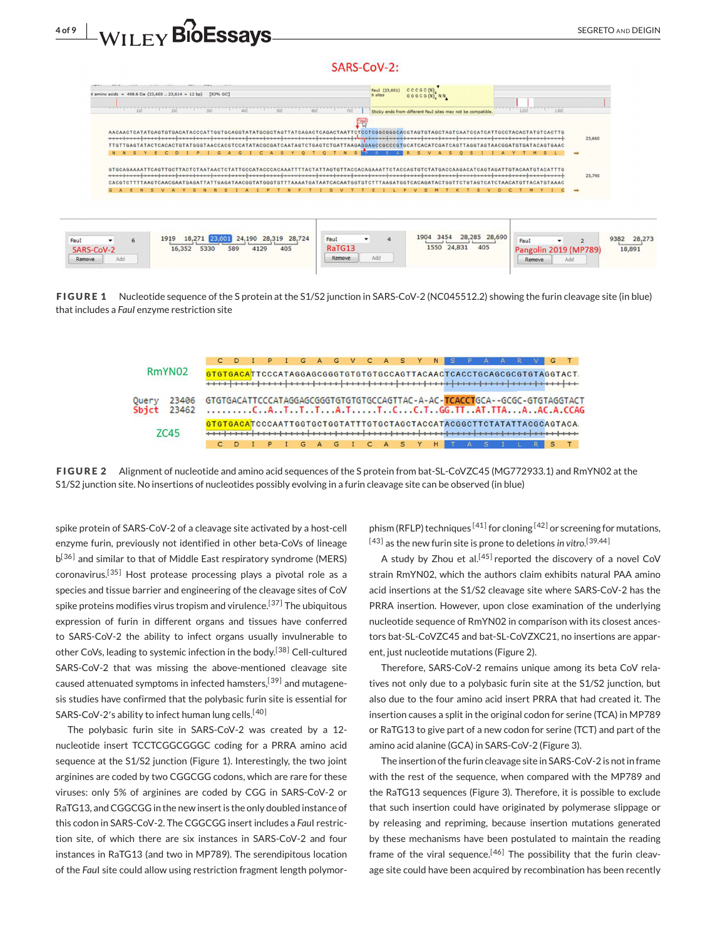





**FIGURE 1** Nucleotide sequence of the S protein at the S1/S2 junction in SARS-CoV-2 (NC045512.2) showing the furin cleavage site (in blue) that includes a *FauI* enzyme restriction site



**FIGURE 2** Alignment of nucleotide and amino acid sequences of the S protein from bat-SL-CoVZC45 (MG772933.1) and RmYN02 at the S1/S2 junction site. No insertions of nucleotides possibly evolving in a furin cleavage site can be observed (in blue)

spike protein of SARS-CoV-2 of a cleavage site activated by a host-cell enzyme furin, previously not identified in other beta-CoVs of lineage b<sup>[36]</sup> and similar to that of Middle East respiratory syndrome (MERS) coronavirus.<sup>[35]</sup> Host protease processing plays a pivotal role as a species and tissue barrier and engineering of the cleavage sites of CoV spike proteins modifies virus tropism and virulence.<sup>[37]</sup> The ubiquitous expression of furin in different organs and tissues have conferred to SARS-CoV-2 the ability to infect organs usually invulnerable to other CoVs, leading to systemic infection in the body.<sup>[38]</sup> Cell-cultured SARS-CoV-2 that was missing the above-mentioned cleavage site caused attenuated symptoms in infected hamsters,  $[39]$  and mutagenesis studies have confirmed that the polybasic furin site is essential for SARS-CoV-2's ability to infect human lung cells.<sup>[40]</sup>

The polybasic furin site in SARS-CoV-2 was created by a 12 nucleotide insert TCCTCGGCGGGC coding for a PRRA amino acid sequence at the S1/S2 junction (Figure 1). Interestingly, the two joint arginines are coded by two CGGCGG codons, which are rare for these viruses: only 5% of arginines are coded by CGG in SARS-CoV-2 or RaTG13, and CGGCGG in the new insert is the only doubled instance of this codon in SARS-CoV-2. The CGGCGG insert includes a *Fau*I restriction site, of which there are six instances in SARS-CoV-2 and four instances in RaTG13 (and two in MP789). The serendipitous location of the *Fau*I site could allow using restriction fragment length polymorphism (RFLP) techniques  $[41]$  for cloning  $[42]$  or screening for mutations, <sup>[43]</sup> as the new furin site is prone to deletions *in vitro.*<sup>[39,44]</sup>

A study by Zhou et al.<sup>[45]</sup> reported the discovery of a novel CoV strain RmYN02, which the authors claim exhibits natural PAA amino acid insertions at the S1/S2 cleavage site where SARS-CoV-2 has the PRRA insertion. However, upon close examination of the underlying nucleotide sequence of RmYN02 in comparison with its closest ancestors bat-SL-CoVZC45 and bat-SL-CoVZXC21, no insertions are apparent, just nucleotide mutations (Figure 2).

Therefore, SARS-CoV-2 remains unique among its beta CoV relatives not only due to a polybasic furin site at the S1/S2 junction, but also due to the four amino acid insert PRRA that had created it. The insertion causes a split in the original codon for serine (TCA) in MP789 or RaTG13 to give part of a new codon for serine (TCT) and part of the amino acid alanine (GCA) in SARS-CoV-2 (Figure 3).

The insertion of the furin cleavage site in SARS-CoV-2 is not in frame with the rest of the sequence, when compared with the MP789 and the RaTG13 sequences (Figure 3). Therefore, it is possible to exclude that such insertion could have originated by polymerase slippage or by releasing and repriming, because insertion mutations generated by these mechanisms have been postulated to maintain the reading frame of the viral sequence.<sup>[46]</sup> The possibility that the furin cleavage site could have been acquired by recombination has been recently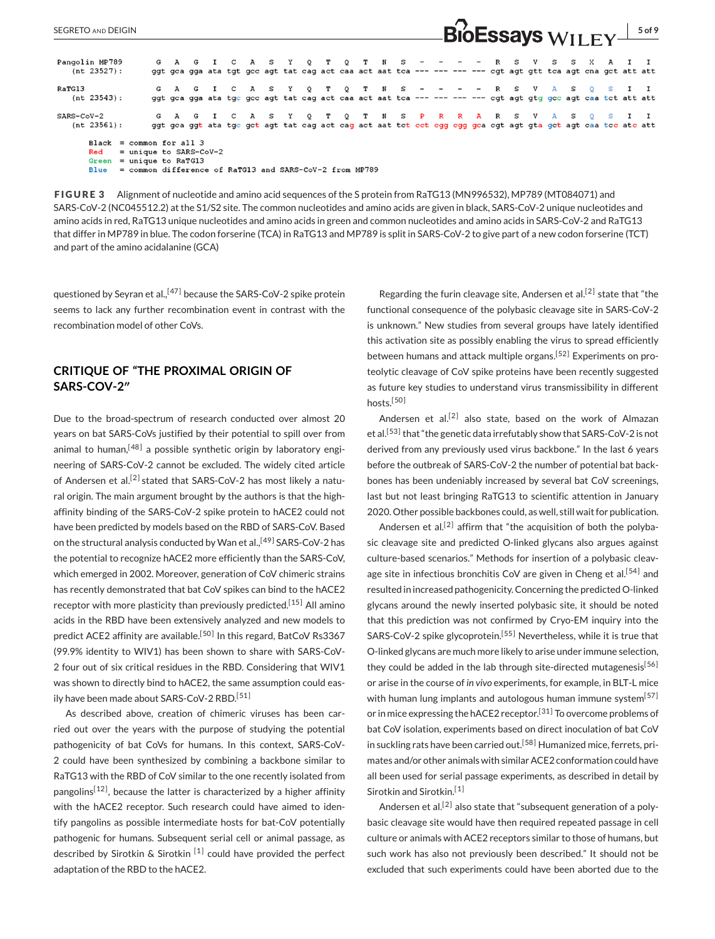|                                                                                                                                                                |  |  |  |  |  |  |  |  |  |  |  |  |  |  |  |  |  | $\blacksquare$ |                                                                                                                                                                        |  |  |  |  |
|----------------------------------------------------------------------------------------------------------------------------------------------------------------|--|--|--|--|--|--|--|--|--|--|--|--|--|--|--|--|--|----------------|------------------------------------------------------------------------------------------------------------------------------------------------------------------------|--|--|--|--|
| Pangolin MP789<br>$(nt 23527)$ :                                                                                                                               |  |  |  |  |  |  |  |  |  |  |  |  |  |  |  |  |  |                | G A G I C A S Y Q T Q T N S - - - - - R S V S S X A I I<br>ggt gea gga ata tgt gee agt tat eag act eaa act aat tea --- --- --- --- egt agt gtt tea agt ena get att att |  |  |  |  |
| RaTG13<br>$(nt 23543)$ :                                                                                                                                       |  |  |  |  |  |  |  |  |  |  |  |  |  |  |  |  |  |                | G A G I C A S Y Q T Q T N S - - - - R S V A S Q S I I<br>ggt gca gga ata tgc gcc agt tat cag act caa act aat tca --- --- --- --- cgt agt gtg gcc agt caa tct att att   |  |  |  |  |
| SARS-CoV-2<br>$(nt 23561)$ :                                                                                                                                   |  |  |  |  |  |  |  |  |  |  |  |  |  |  |  |  |  |                | G A G I C A S Y Q T Q T N S P R R A R S V A S Q S I I<br>ggt gea ggt ata tge get agt tat eag aet eag aet aat tet eet egg egg gea egt agt gta get agt eaa tee ate att   |  |  |  |  |
| Black = common for all $3$<br>$=$ unique to SARS-CoV-2<br>Red<br>$Green = unique to RATG13$<br>= common difference of RaTG13 and SARS-CoV-2 from MP789<br>Blue |  |  |  |  |  |  |  |  |  |  |  |  |  |  |  |  |  |                |                                                                                                                                                                        |  |  |  |  |

SEGRETO AND DEIGIN **5 of 9 SEGRETO AND DEIGIN** 

**FIGURE 3** Alignment of nucleotide and amino acid sequences of the S protein from RaTG13 (MN996532), MP789 (MT084071) and SARS-CoV-2 (NC045512.2) at the S1/S2 site. The common nucleotides and amino acids are given in black, SARS-CoV-2 unique nucleotides and amino acids in red, RaTG13 unique nucleotides and amino acids in green and common nucleotides and amino acids in SARS-CoV-2 and RaTG13 that differ in MP789 in blue. The codon forserine (TCA) in RaTG13 and MP789 is split in SARS-CoV-2 to give part of a new codon forserine (TCT) and part of the amino acidalanine (GCA)

questioned by Seyran et al.,<sup>[47]</sup> because the SARS-CoV-2 spike protein seems to lack any further recombination event in contrast with the recombination model of other CoVs.

## **CRITIQUE OF "THE PROXIMAL ORIGIN OF SARS-COV-2″**

Due to the broad-spectrum of research conducted over almost 20 years on bat SARS-CoVs justified by their potential to spill over from animal to human,  $[48]$  a possible synthetic origin by laboratory engineering of SARS-CoV-2 cannot be excluded. The widely cited article of Andersen et al.<sup>[2]</sup> stated that SARS-CoV-2 has most likely a natural origin. The main argument brought by the authors is that the highaffinity binding of the SARS-CoV-2 spike protein to hACE2 could not have been predicted by models based on the RBD of SARS-CoV. Based on the structural analysis conducted by Wan et al.,<sup>[49]</sup> SARS-CoV-2 has the potential to recognize hACE2 more efficiently than the SARS-CoV, which emerged in 2002. Moreover, generation of CoV chimeric strains has recently demonstrated that bat CoV spikes can bind to the hACE2 receptor with more plasticity than previously predicted.<sup>[15]</sup> All amino acids in the RBD have been extensively analyzed and new models to predict ACE2 affinity are available.<sup>[50]</sup> In this regard, BatCoV Rs3367 (99.9% identity to WIV1) has been shown to share with SARS-CoV-2 four out of six critical residues in the RBD. Considering that WIV1 was shown to directly bind to hACE2, the same assumption could easily have been made about SARS-CoV-2 RBD.<sup>[51]</sup>

As described above, creation of chimeric viruses has been carried out over the years with the purpose of studying the potential pathogenicity of bat CoVs for humans. In this context, SARS-CoV-2 could have been synthesized by combining a backbone similar to RaTG13 with the RBD of CoV similar to the one recently isolated from pangolins<sup>[12]</sup>, because the latter is characterized by a higher affinity with the hACE2 receptor. Such research could have aimed to identify pangolins as possible intermediate hosts for bat-CoV potentially pathogenic for humans. Subsequent serial cell or animal passage, as described by Sirotkin & Sirotkin  $[1]$  could have provided the perfect adaptation of the RBD to the hACE2.

Regarding the furin cleavage site, Andersen et al.<sup>[2]</sup> state that "the functional consequence of the polybasic cleavage site in SARS-CoV-2 is unknown." New studies from several groups have lately identified this activation site as possibly enabling the virus to spread efficiently between humans and attack multiple organs.<sup>[52]</sup> Experiments on proteolytic cleavage of CoV spike proteins have been recently suggested as future key studies to understand virus transmissibility in different hosts.<sup>[50]</sup>

Andersen et al.<sup>[2]</sup> also state, based on the work of Almazan et al.<sup>[53]</sup> that "the genetic data irrefutably show that SARS-CoV-2 is not derived from any previously used virus backbone." In the last 6 years before the outbreak of SARS-CoV-2 the number of potential bat backbones has been undeniably increased by several bat CoV screenings, last but not least bringing RaTG13 to scientific attention in January 2020. Other possible backbones could, as well, still wait for publication.

Andersen et al.<sup>[2]</sup> affirm that "the acquisition of both the polybasic cleavage site and predicted O-linked glycans also argues against culture-based scenarios." Methods for insertion of a polybasic cleavage site in infectious bronchitis CoV are given in Cheng et al.<sup>[54]</sup> and resulted in increased pathogenicity. Concerning the predicted O-linked glycans around the newly inserted polybasic site, it should be noted that this prediction was not confirmed by Cryo-EM inquiry into the SARS-CoV-2 spike glycoprotein.<sup>[55]</sup> Nevertheless, while it is true that O-linked glycans are much more likely to arise under immune selection, they could be added in the lab through site-directed mutagenesis<sup>[56]</sup> or arise in the course of *in vivo* experiments, for example, in BLT-L mice with human lung implants and autologous human immune system $[57]$ or in mice expressing the hACE2 receptor.<sup>[31]</sup> To overcome problems of bat CoV isolation, experiments based on direct inoculation of bat CoV in suckling rats have been carried out.<sup>[58]</sup> Humanized mice, ferrets, primates and/or other animals with similar ACE2 conformation could have all been used for serial passage experiments, as described in detail by Sirotkin and Sirotkin.<sup>[1]</sup>

Andersen et al.<sup>[2]</sup> also state that "subsequent generation of a polybasic cleavage site would have then required repeated passage in cell culture or animals with ACE2 receptors similar to those of humans, but such work has also not previously been described." It should not be excluded that such experiments could have been aborted due to the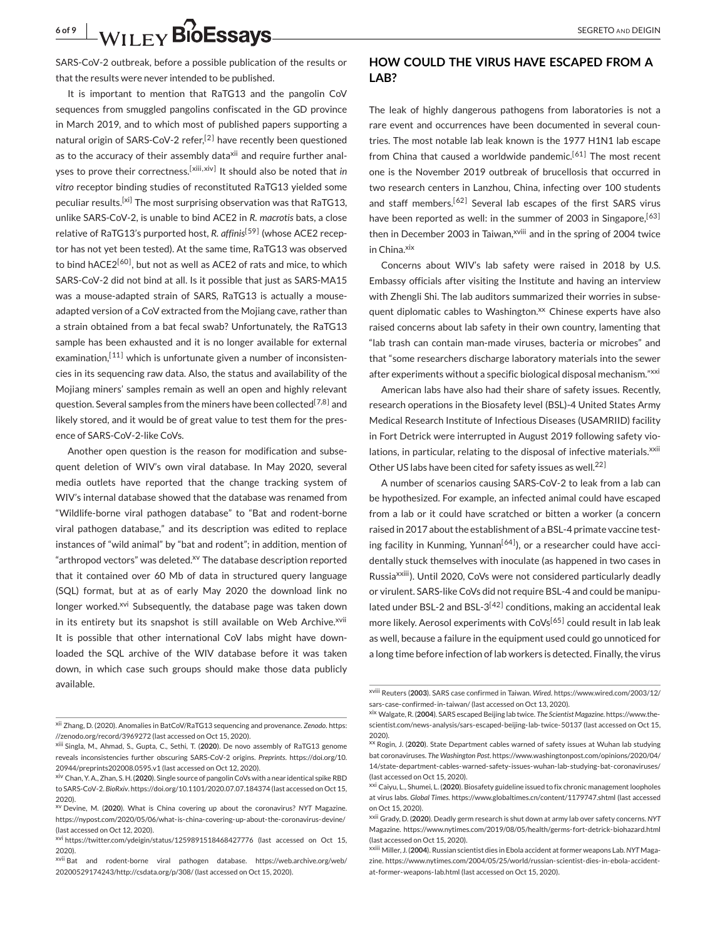SARS-CoV-2 outbreak, before a possible publication of the results or that the results were never intended to be published.

It is important to mention that RaTG13 and the pangolin CoV sequences from smuggled pangolins confiscated in the GD province in March 2019, and to which most of published papers supporting a natural origin of SARS-CoV-2 refer,<sup>[2]</sup> have recently been questioned as to the accuracy of their assembly data<sup>xii</sup> and require further analyses to prove their correctness.<sup>[xiii,xiv]</sup> It should also be noted that *in vitro* receptor binding studies of reconstituted RaTG13 yielded some peculiar results.<sup>[xi]</sup> The most surprising observation was that RaTG13, unlike SARS-CoV-2, is unable to bind ACE2 in *R. macrotis* bats, a close relative of RaTG13's purported host, R. affinis<sup>[59]</sup> (whose ACE2 receptor has not yet been tested). At the same time, RaTG13 was observed to bind hACE2<sup>[60]</sup>, but not as well as ACE2 of rats and mice, to which SARS-CoV-2 did not bind at all. Is it possible that just as SARS-MA15 was a mouse-adapted strain of SARS, RaTG13 is actually a mouseadapted version of a CoV extracted from the Mojiang cave, rather than a strain obtained from a bat fecal swab? Unfortunately, the RaTG13 sample has been exhausted and it is no longer available for external examination, $[11]$  which is unfortunate given a number of inconsistencies in its sequencing raw data. Also, the status and availability of the Mojiang miners' samples remain as well an open and highly relevant question. Several samples from the miners have been collected<sup>[7,8]</sup> and likely stored, and it would be of great value to test them for the presence of SARS-CoV-2-like CoVs.

Another open question is the reason for modification and subsequent deletion of WIV's own viral database. In May 2020, several media outlets have reported that the change tracking system of WIV's internal database showed that the database was renamed from "Wildlife-borne viral pathogen database" to "Bat and rodent-borne viral pathogen database," and its description was edited to replace instances of "wild animal" by "bat and rodent"; in addition, mention of "arthropod vectors" was deleted.<sup>xv</sup> The database description reported that it contained over 60 Mb of data in structured query language (SQL) format, but at as of early May 2020 the download link no longer worked.<sup>xvi</sup> Subsequently, the database page was taken down in its entirety but its snapshot is still available on Web Archive.<sup>xvii</sup> It is possible that other international CoV labs might have downloaded the SQL archive of the WIV database before it was taken down, in which case such groups should make those data publicly available.

### **HOW COULD THE VIRUS HAVE ESCAPED FROM A LAB?**

The leak of highly dangerous pathogens from laboratories is not a rare event and occurrences have been documented in several countries. The most notable lab leak known is the 1977 H1N1 lab escape from China that caused a worldwide pandemic.<sup>[61]</sup> The most recent one is the November 2019 outbreak of brucellosis that occurred in two research centers in Lanzhou, China, infecting over 100 students and staff members.<sup>[62]</sup> Several lab escapes of the first SARS virus have been reported as well: in the summer of 2003 in Singapore,<sup>[63]</sup> then in December 2003 in Taiwan,<sup>xviii</sup> and in the spring of 2004 twice in China.<sup>xix</sup>

Concerns about WIV's lab safety were raised in 2018 by U.S. Embassy officials after visiting the Institute and having an interview with Zhengli Shi. The lab auditors summarized their worries in subsequent diplomatic cables to Washington.<sup>xx</sup> Chinese experts have also raised concerns about lab safety in their own country, lamenting that "lab trash can contain man-made viruses, bacteria or microbes" and that "some researchers discharge laboratory materials into the sewer after experiments without a specific biological disposal mechanism."xxi

American labs have also had their share of safety issues. Recently, research operations in the Biosafety level (BSL)-4 United States Army Medical Research Institute of Infectious Diseases (USAMRIID) facility in Fort Detrick were interrupted in August 2019 following safety violations, in particular, relating to the disposal of infective materials.<sup>xxii</sup> Other US labs have been cited for safety issues as well.<sup>22]</sup>

A number of scenarios causing SARS-CoV-2 to leak from a lab can be hypothesized. For example, an infected animal could have escaped from a lab or it could have scratched or bitten a worker (a concern raised in 2017 about the establishment of a BSL-4 primate vaccine testing facility in Kunming, Yunnan<sup>[64]</sup>), or a researcher could have accidentally stuck themselves with inoculate (as happened in two cases in Russiaxxiii). Until 2020, CoVs were not considered particularly deadly or virulent. SARS-like CoVs did not require BSL-4 and could be manipulated under BSL-2 and BSL- $3^{[42]}$  conditions, making an accidental leak more likely. Aerosol experiments with  $CoVs<sup>[65]</sup>$  could result in lab leak as well, because a failure in the equipment used could go unnoticed for a long time before infection of lab workers is detected. Finally, the virus

xii Zhang, D. (2020). Anomalies in BatCoV/RaTG13 sequencing and provenance. *Zenodo*. https: //zenodo.org/record/3969272 (last accessed on Oct 15, 2020).

xiii Singla, M., Ahmad, S., Gupta, C., Sethi, T. (**2020**). De novo assembly of RaTG13 genome reveals inconsistencies further obscuring SARS-CoV-2 origins. *Preprints*. https://doi.org/10. 20944/preprints202008.0595.v1 (last accessed on Oct 12, 2020).

xiv Chan, Y. A., Zhan, S. H. (**2020**). Single source of pangolin CoVs with a near identical spike RBD to SARS-CoV-2. *BioRxiv*. https://doi.org/10.1101/2020.07.07.184374 (last accessed on Oct 15, 2020).

xv Devine, M. (**2020**). What is China covering up about the coronavirus? *NYT* Magazine. https://nypost.com/2020/05/06/what-is-china-covering-up-about-the-coronavirus-devine/ (last accessed on Oct 12, 2020).

xvi https://twitter.com/ydeigin/status/1259891518468427776 (last accessed on Oct 15, 2020).

xvii Bat and rodent-borne viral pathogen database. https://web.archive.org/web/ 20200529174243/http://csdata.org/p/308/ (last accessed on Oct 15, 2020).

xviii Reuters (**2003**). SARS case confirmed in Taiwan. *Wired*. https://www.wired.com/2003/12/ sars-case-confirmed-in-taiwan/ (last accessed on Oct 13, 2020).

xix Walgate, R. (**2004**). SARS escaped Beijing lab twice. *The Scientist Magazine*. https://www.thescientist.com/news-analysis/sars-escaped-beijing-lab-twice-50137 (last accessed on Oct 15, 2020).

xx Rogin, J. (**2020**). State Department cables warned of safety issues at Wuhan lab studying bat coronaviruses. *The Washington Post*. https://www.washingtonpost.com/opinions/2020/04/ 14/state-department-cables-warned-safety-issues-wuhan-lab-studying-bat-coronaviruses/ (last accessed on Oct 15, 2020).

xxi Caiyu, L., Shumei, L. (**2020**). Biosafety guideline issued to fix chronic management loopholes at virus labs. *Global Times*. https://www.globaltimes.cn/content/1179747.shtml (last accessed on Oct 15, 2020).

xxii Grady, D. (**2020**). Deadly germ research is shut down at army lab over safety concerns. *NYT* Magazine. https://www.nytimes.com/2019/08/05/health/germs-fort-detrick-biohazard.html (last accessed on Oct 15, 2020).

xxiii Miller, J. (**2004**). Russian scientist dies in Ebola accident at former weapons Lab.*NYT* Magazine. https://www.nytimes.com/2004/05/25/world/russian-scientist-dies-in-ebola-accidentat-former-weapons-lab.html (last accessed on Oct 15, 2020).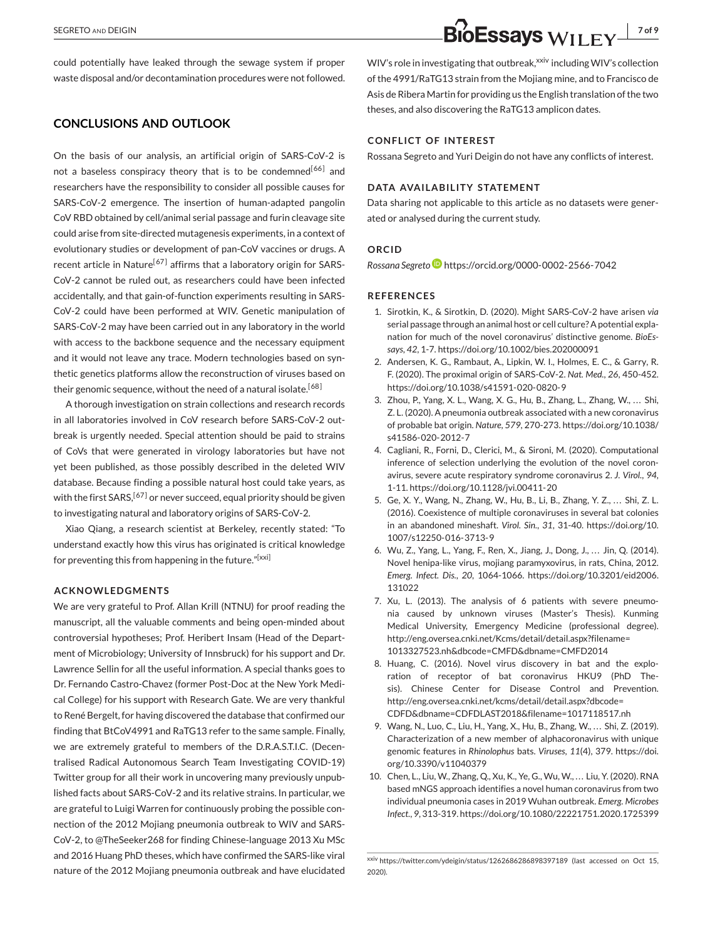could potentially have leaked through the sewage system if proper waste disposal and/or decontamination procedures were not followed.

#### **CONCLUSIONS AND OUTLOOK**

On the basis of our analysis, an artificial origin of SARS-CoV-2 is not a baseless conspiracy theory that is to be condemned<sup>[66]</sup> and researchers have the responsibility to consider all possible causes for SARS-CoV-2 emergence. The insertion of human-adapted pangolin CoV RBD obtained by cell/animal serial passage and furin cleavage site could arise from site-directed mutagenesis experiments, in a context of evolutionary studies or development of pan-CoV vaccines or drugs. A recent article in Nature<sup>[67]</sup> affirms that a laboratory origin for SARS-CoV-2 cannot be ruled out, as researchers could have been infected accidentally, and that gain-of-function experiments resulting in SARS-CoV-2 could have been performed at WIV. Genetic manipulation of SARS-CoV-2 may have been carried out in any laboratory in the world with access to the backbone sequence and the necessary equipment and it would not leave any trace. Modern technologies based on synthetic genetics platforms allow the reconstruction of viruses based on their genomic sequence, without the need of a natural isolate.<sup>[68]</sup>

A thorough investigation on strain collections and research records in all laboratories involved in CoV research before SARS-CoV-2 outbreak is urgently needed. Special attention should be paid to strains of CoVs that were generated in virology laboratories but have not yet been published, as those possibly described in the deleted WIV database. Because finding a possible natural host could take years, as with the first SARS,  $[67]$  or never succeed, equal priority should be given to investigating natural and laboratory origins of SARS-CoV-2.

Xiao Qiang, a research scientist at Berkeley, recently stated: "To understand exactly how this virus has originated is critical knowledge for preventing this from happening in the future."<sup>[xxi]</sup>

#### **ACKNOWLEDGMENTS**

We are very grateful to Prof. Allan Krill (NTNU) for proof reading the manuscript, all the valuable comments and being open-minded about controversial hypotheses; Prof. Heribert Insam (Head of the Department of Microbiology; University of Innsbruck) for his support and Dr. Lawrence Sellin for all the useful information. A special thanks goes to Dr. Fernando Castro-Chavez (former Post-Doc at the New York Medical College) for his support with Research Gate. We are very thankful to René Bergelt, for having discovered the database that confirmed our finding that BtCoV4991 and RaTG13 refer to the same sample. Finally, we are extremely grateful to members of the D.R.A.S.T.I.C. (Decentralised Radical Autonomous Search Team Investigating COVID-19) Twitter group for all their work in uncovering many previously unpublished facts about SARS-CoV-2 and its relative strains. In particular, we are grateful to Luigi Warren for continuously probing the possible connection of the 2012 Mojiang pneumonia outbreak to WIV and SARS-CoV-2, to @TheSeeker268 for finding Chinese-language 2013 Xu MSc and 2016 Huang PhD theses, which have confirmed the SARS-like viral nature of the 2012 Mojiang pneumonia outbreak and have elucidated

WIV's role in investigating that outbreak, xxiv including WIV's collection of the 4991/RaTG13 strain from the Mojiang mine, and to Francisco de Asis de Ribera Martin for providing us the English translation of the two theses, and also discovering the RaTG13 amplicon dates.

#### **CONFLICT OF INTEREST**

Rossana Segreto and Yuri Deigin do not have any conflicts of interest.

#### **DATA AVAILABILITY STATEMENT**

Data sharing not applicable to this article as no datasets were generated or analysed during the current study.

#### **ORCID**

*Rossana Segreto* https://orcid.org/0000-0002-2566-7042

#### **REFERENCES**

- 1. Sirotkin, K., & Sirotkin, D. (2020). Might SARS-CoV-2 have arisen *via* serial passage through an animal host or cell culture? A potential explanation for much of the novel coronavirus' distinctive genome. *BioEssays*, *42*, 1-7. https://doi.org/10.1002/bies.202000091
- 2. Andersen, K. G., Rambaut, A., Lipkin, W. I., Holmes, E. C., & Garry, R. F. (2020). The proximal origin of SARS-CoV-2. *Nat. Med.*, *26*, 450-452. https://doi.org/10.1038/s41591-020-0820-9
- 3. Zhou, P., Yang, X. L., Wang, X. G., Hu, B., Zhang, L., Zhang, W., ... Shi, Z. L. (2020). A pneumonia outbreak associated with a new coronavirus of probable bat origin. *Nature*, *579*, 270-273. https://doi.org/10.1038/ s41586-020-2012-7
- 4. Cagliani, R., Forni, D., Clerici, M., & Sironi, M. (2020). Computational inference of selection underlying the evolution of the novel coronavirus, severe acute respiratory syndrome coronavirus 2. *J. Virol.*, *94*, 1-11. https://doi.org/10.1128/jvi.00411-20
- 5. Ge, X. Y., Wang, N., Zhang, W., Hu, B., Li, B., Zhang, Y. Z., ... Shi, Z. L. (2016). Coexistence of multiple coronaviruses in several bat colonies in an abandoned mineshaft. *Virol. Sin.*, *31*, 31-40. https://doi.org/10. 1007/s12250-016-3713-9
- 6. Wu, Z., Yang, L., Yang, F., Ren, X., Jiang, J., Dong, J., . . . Jin, Q. (2014). Novel henipa-like virus, mojiang paramyxovirus, in rats, China, 2012. *Emerg. Infect. Dis.*, *20*, 1064-1066. https://doi.org/10.3201/eid2006. 131022
- 7. Xu, L. (2013). The analysis of 6 patients with severe pneumonia caused by unknown viruses (Master's Thesis). Kunming Medical University, Emergency Medicine (professional degree). http://eng.oversea.cnki.net/Kcms/detail/detail.aspx?filename= 1013327523.nh&dbcode=CMFD&dbname=CMFD2014
- 8. Huang, C. (2016). Novel virus discovery in bat and the exploration of receptor of bat coronavirus HKU9 (PhD Thesis). Chinese Center for Disease Control and Prevention. http://eng.oversea.cnki.net/kcms/detail/detail.aspx?dbcode= CDFD&dbname=CDFDLAST2018&filename=1017118517.nh
- 9. Wang, N., Luo, C., Liu, H., Yang, X., Hu, B., Zhang, W., ... Shi, Z. (2019). Characterization of a new member of alphacoronavirus with unique genomic features in *Rhinolophus* bats. *Viruses*, *11*(4), 379. https://doi. org/10.3390/v11040379
- 10. Chen, L., Liu, W., Zhang, Q., Xu, K., Ye, G., Wu, W., . . . Liu, Y. (2020). RNA based mNGS approach identifies a novel human coronavirus from two individual pneumonia cases in 2019 Wuhan outbreak. *Emerg. Microbes Infect.*, *9*, 313-319. https://doi.org/10.1080/22221751.2020.1725399

xxiv https://twitter.com/ydeigin/status/1262686286898397189 (last accessed on Oct 15, 2020).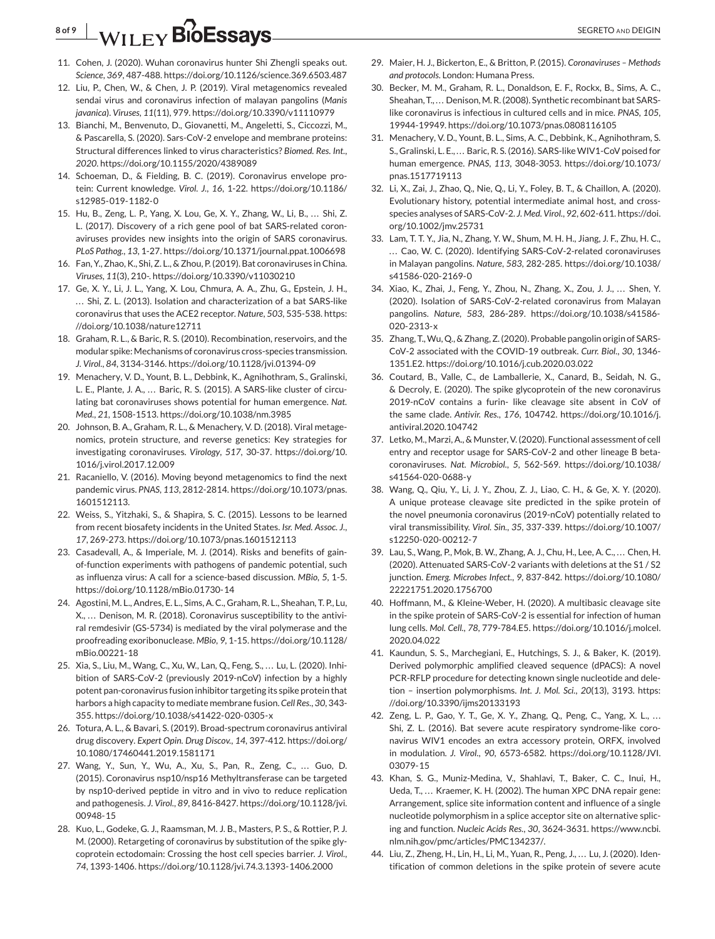## **8 of 9** MILEY **BIOESSAVS**

- 11. Cohen, J. (2020). Wuhan coronavirus hunter Shi Zhengli speaks out. *Science*, *369*, 487-488. https://doi.org/10.1126/science.369.6503.487
- 12. Liu, P., Chen, W., & Chen, J. P. (2019). Viral metagenomics revealed sendai virus and coronavirus infection of malayan pangolins (*Manis javanica*). *Viruses*, *11*(11), 979. https://doi.org/10.3390/v11110979
- 13. Bianchi, M., Benvenuto, D., Giovanetti, M., Angeletti, S., Ciccozzi, M., & Pascarella, S. (2020). Sars-CoV-2 envelope and membrane proteins: Structural differences linked to virus characteristics? *Biomed. Res. Int.*, *2020*. https://doi.org/10.1155/2020/4389089
- 14. Schoeman, D., & Fielding, B. C. (2019). Coronavirus envelope protein: Current knowledge. *Virol. J.*, *16*, 1-22. https://doi.org/10.1186/ s12985-019-1182-0
- 15. Hu, B., Zeng, L. P., Yang, X. Lou, Ge, X. Y., Zhang, W., Li, B., ... Shi, Z. L. (2017). Discovery of a rich gene pool of bat SARS-related coronaviruses provides new insights into the origin of SARS coronavirus. *PLoS Pathog.*, *13*, 1-27. https://doi.org/10.1371/journal.ppat.1006698
- 16. Fan, Y., Zhao, K., Shi, Z. L., & Zhou, P. (2019). Bat coronaviruses in China. *Viruses*, *11*(3), 210-. https://doi.org/10.3390/v11030210
- 17. Ge, X. Y., Li, J. L., Yang, X. Lou, Chmura, A. A., Zhu, G., Epstein, J. H., ... Shi, Z. L. (2013). Isolation and characterization of a bat SARS-like coronavirus that uses the ACE2 receptor. *Nature*, *503*, 535-538. https: //doi.org/10.1038/nature12711
- 18. Graham, R. L., & Baric, R. S. (2010). Recombination, reservoirs, and the modular spike: Mechanisms of coronavirus cross-species transmission. *J. Virol.*, *84*, 3134-3146. https://doi.org/10.1128/jvi.01394-09
- 19. Menachery, V. D., Yount, B. L., Debbink, K., Agnihothram, S., Gralinski, L. E., Plante, J. A., ... Baric, R. S. (2015). A SARS-like cluster of circulating bat coronaviruses shows potential for human emergence. *Nat. Med.*, *21*, 1508-1513. https://doi.org/10.1038/nm.3985
- 20. Johnson, B. A., Graham, R. L., & Menachery, V. D. (2018). Viral metagenomics, protein structure, and reverse genetics: Key strategies for investigating coronaviruses. *Virology*, *517*, 30-37. https://doi.org/10. 1016/j.virol.2017.12.009
- 21. Racaniello, V. (2016). Moving beyond metagenomics to find the next pandemic virus. *PNAS*, *113*, 2812-2814. https://doi.org/10.1073/pnas. 1601512113.
- 22. Weiss, S., Yitzhaki, S., & Shapira, S. C. (2015). Lessons to be learned from recent biosafety incidents in the United States. *Isr. Med. Assoc. J.*, *17*, 269-273. https://doi.org/10.1073/pnas.1601512113
- 23. Casadevall, A., & Imperiale, M. J. (2014). Risks and benefits of gainof-function experiments with pathogens of pandemic potential, such as influenza virus: A call for a science-based discussion. *MBio*, *5*, 1-5. https://doi.org/10.1128/mBio.01730-14
- 24. Agostini, M. L., Andres, E. L., Sims, A. C., Graham, R. L., Sheahan, T. P., Lu, X., ... Denison, M. R. (2018). Coronavirus susceptibility to the antiviral remdesivir (GS-5734) is mediated by the viral polymerase and the proofreading exoribonuclease. *MBio*, *9*, 1-15. https://doi.org/10.1128/ mBio.00221-18
- 25. Xia, S., Liu, M., Wang, C., Xu, W., Lan, Q., Feng, S., ... Lu, L. (2020). Inhibition of SARS-CoV-2 (previously 2019-nCoV) infection by a highly potent pan-coronavirus fusion inhibitor targeting its spike protein that harbors a high capacity to mediate membrane fusion. *Cell Res.*, *30*, 343- 355. https://doi.org/10.1038/s41422-020-0305-x
- 26. Totura, A. L., & Bavari, S. (2019). Broad-spectrum coronavirus antiviral drug discovery. *Expert Opin. Drug Discov.*, *14*, 397-412. https://doi.org/ 10.1080/17460441.2019.1581171
- 27. Wang, Y., Sun, Y., Wu, A., Xu, S., Pan, R., Zeng, C., ... Guo, D. (2015). Coronavirus nsp10/nsp16 Methyltransferase can be targeted by nsp10-derived peptide in vitro and in vivo to reduce replication and pathogenesis. *J. Virol.*, *89*, 8416-8427. https://doi.org/10.1128/jvi. 00948-15
- 28. Kuo, L., Godeke, G. J., Raamsman, M. J. B., Masters, P. S., & Rottier, P. J. M. (2000). Retargeting of coronavirus by substitution of the spike glycoprotein ectodomain: Crossing the host cell species barrier. *J. Virol.*, *74*, 1393-1406. https://doi.org/10.1128/jvi.74.3.1393-1406.2000
- 29. Maier, H. J., Bickerton, E., & Britton, P. (2015). *Coronaviruses Methods and protocols*. London: Humana Press.
- 30. Becker, M. M., Graham, R. L., Donaldson, E. F., Rockx, B., Sims, A. C., Sheahan, T., ... Denison, M. R. (2008). Synthetic recombinant bat SARSlike coronavirus is infectious in cultured cells and in mice. *PNAS*, *105*, 19944-19949. https://doi.org/10.1073/pnas.0808116105
- 31. Menachery, V. D., Yount, B. L., Sims, A. C., Debbink, K., Agnihothram, S. S., Gralinski, L. E., ... Baric, R. S. (2016). SARS-like WIV1-CoV poised for human emergence. *PNAS*, *113*, 3048-3053. https://doi.org/10.1073/ pnas.1517719113
- 32. Li, X., Zai, J., Zhao, Q., Nie, Q., Li, Y., Foley, B. T., & Chaillon, A. (2020). Evolutionary history, potential intermediate animal host, and crossspecies analyses of SARS-CoV-2. *J. Med. Virol.*, *92*, 602-611. https://doi. org/10.1002/jmv.25731
- 33. Lam, T. T. Y., Jia, N., Zhang, Y. W., Shum, M. H. H., Jiang, J. F., Zhu, H. C., ... Cao, W. C. (2020). Identifying SARS-CoV-2-related coronaviruses in Malayan pangolins. *Nature*, *583*, 282-285. https://doi.org/10.1038/ s41586-020-2169-0
- 34. Xiao, K., Zhai, J., Feng, Y., Zhou, N., Zhang, X., Zou, J. J., ... Shen, Y. (2020). Isolation of SARS-CoV-2-related coronavirus from Malayan pangolins. *Nature*, *583*, 286-289. https://doi.org/10.1038/s41586- 020-2313-x
- 35. Zhang, T.,Wu, Q., & Zhang, Z. (2020). Probable pangolin origin of SARS-CoV-2 associated with the COVID-19 outbreak. *Curr. Biol.*, *30*, 1346- 1351.E2. https://doi.org/10.1016/j.cub.2020.03.022
- 36. Coutard, B., Valle, C., de Lamballerie, X., Canard, B., Seidah, N. G., & Decroly, E. (2020). The spike glycoprotein of the new coronavirus 2019-nCoV contains a furin- like cleavage site absent in CoV of the same clade. *Antivir. Res.*, *176*, 104742. https://doi.org/10.1016/j. antiviral.2020.104742
- 37. Letko, M., Marzi, A., & Munster, V. (2020). Functional assessment of cell entry and receptor usage for SARS-CoV-2 and other lineage B betacoronaviruses. *Nat. Microbiol.*, *5*, 562-569. https://doi.org/10.1038/ s41564-020-0688-y
- 38. Wang, Q., Qiu, Y., Li, J. Y., Zhou, Z. J., Liao, C. H., & Ge, X. Y. (2020). A unique protease cleavage site predicted in the spike protein of the novel pneumonia coronavirus (2019-nCoV) potentially related to viral transmissibility. *Virol. Sin.*, *35*, 337-339. https://doi.org/10.1007/ s12250-020-00212-7
- 39. Lau, S., Wang, P., Mok, B. W., Zhang, A. J., Chu, H., Lee, A. C., ... Chen, H. (2020). Attenuated SARS-CoV-2 variants with deletions at the S1 / S2 junction. *Emerg. Microbes Infect.*, *9*, 837-842. https://doi.org/10.1080/ 22221751.2020.1756700
- 40. Hoffmann, M., & Kleine-Weber, H. (2020). A multibasic cleavage site in the spike protein of SARS-CoV-2 is essential for infection of human lung cells. *Mol. Cell.*, *78*, 779-784.E5. https://doi.org/10.1016/j.molcel. 2020.04.022
- 41. Kaundun, S. S., Marchegiani, E., Hutchings, S. J., & Baker, K. (2019). Derived polymorphic amplified cleaved sequence (dPACS): A novel PCR-RFLP procedure for detecting known single nucleotide and deletion – insertion polymorphisms. *Int. J. Mol. Sci.*, *20*(13), 3193. https: //doi.org/10.3390/ijms20133193
- 42. Zeng, L. P., Gao, Y. T., Ge, X. Y., Zhang, Q., Peng, C., Yang, X. L., ... Shi, Z. L. (2016). Bat severe acute respiratory syndrome-like coronavirus WIV1 encodes an extra accessory protein, ORFX, involved in modulation. *J. Virol.*, *90*, 6573-6582. https://doi.org/10.1128/JVI. 03079-15
- 43. Khan, S. G., Muniz-Medina, V., Shahlavi, T., Baker, C. C., Inui, H., Ueda, T., ... Kraemer, K. H. (2002). The human XPC DNA repair gene: Arrangement, splice site information content and influence of a single nucleotide polymorphism in a splice acceptor site on alternative splicing and function. *Nucleic Acids Res.*, *30*, 3624-3631. https://www.ncbi. nlm.nih.gov/pmc/articles/PMC134237/.
- 44. Liu, Z., Zheng, H., Lin, H., Li, M., Yuan, R., Peng, J., ... Lu, J. (2020). Identification of common deletions in the spike protein of severe acute